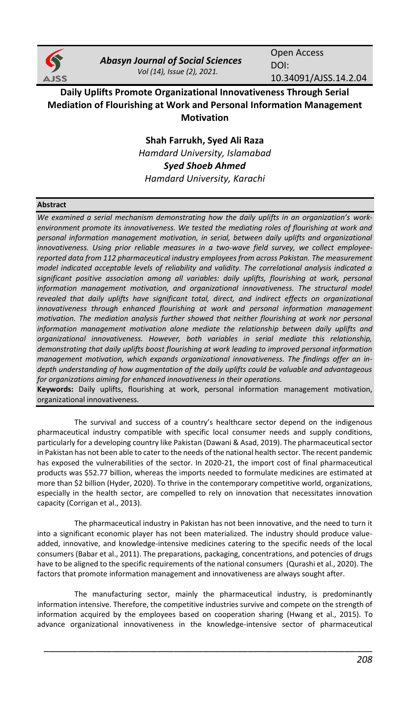

*Abasyn Journal of Social Sciences Vol (14), Issue (2), 2021.*

Open Access DOI: 10.34091/AJSS.14.2.04

# **Daily Uplifts Promote Organizational Innovativeness Through Serial Mediation of Flourishing at Work and Personal Information Management Motivation**

**Shah Farrukh, Syed Ali Raza** *Hamdard University, Islamabad Syed Shoeb Ahmed Hamdard University, Karachi*

# **Abstract**

We examined a serial mechanism demonstrating how the daily uplifts in an organization's work*environment promote its innovativeness. We tested the mediating roles of flourishing at work and personal information management motivation, in serial, between daily uplifts and organizational innovativeness. Using prior reliable measures in a two-wave field survey, we collect employeereported data from 112 pharmaceutical industry employees from across Pakistan. The measurement model indicated acceptable levels of reliability and validity. The correlational analysis indicated a*  significant positive association among all variables: daily uplifts, flourishing at work, personal information management motivation, and organizational innovativeness. The structural model revealed that daily uplifts have significant total, direct, and indirect effects on organizational *innovativeness through enhanced flourishing at work and personal information management motivation. The mediation analysis further showed that neither flourishing at work nor personal*  information management motivation alone mediate the relationship between daily uplifts and *organizational innovativeness. However, both variables in serial mediate this relationship, demonstrating that daily uplifts boost flourishing at work leading to improved personal information management motivation, which expands organizational innovativeness. The findings offer an indepth understanding of how augmentation of the daily uplifts could be valuable and advantageous for organizations aiming for enhanced innovativeness in their operations.*

**Keywords:** Daily uplifts, flourishing at work, personal information management motivation, organizational innovativeness.

The survival and success of a country's healthcare sector depend on the indigenous pharmaceutical industry compatible with specific local consumer needs and supply conditions, particularly for a developing country like Pakistan (Dawani & Asad, 2019). The pharmaceutical sector in Pakistan has not been able to cater to the needs of the national health sector. The recent pandemic has exposed the vulnerabilities of the sector. In 2020-21, the import cost of final pharmaceutical products was \$52.77 billion, whereas the imports needed to formulate medicines are estimated at more than \$2 billion (Hyder, 2020). To thrive in the contemporary competitive world, organizations, especially in the health sector, are compelled to rely on innovation that necessitates innovation capacity (Corrigan et al., 2013).

The pharmaceutical industry in Pakistan has not been innovative, and the need to turn it into a significant economic player has not been materialized. The industry should produce valueadded, innovative, and knowledge-intensive medicines catering to the specific needs of the local consumers (Babar et al., 2011). The preparations, packaging, concentrations, and potencies of drugs have to be aligned to the specific requirements of the national consumers (Qurashi et al., 2020). The factors that promote information management and innovativeness are always sought after.

The manufacturing sector, mainly the pharmaceutical industry, is predominantly information intensive. Therefore, the competitive industries survive and compete on the strength of information acquired by the employees based on cooperation sharing (Hwang et al., 2015). To advance organizational innovativeness in the knowledge-intensive sector of pharmaceutical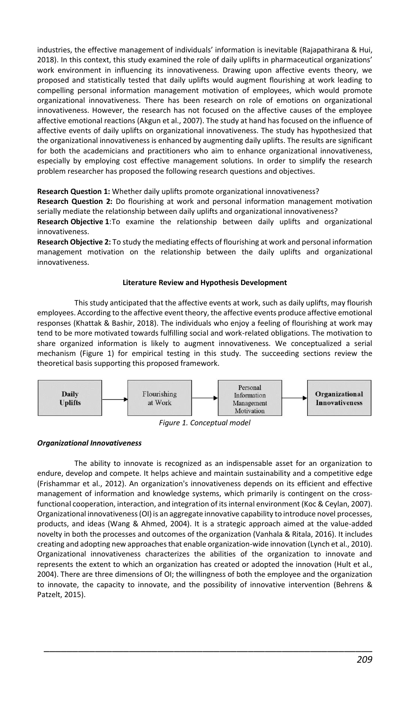industries, the effective management of individuals' information is inevitable (Rajapathirana & Hui, 2018). In this context, this study examined the role of daily uplifts in pharmaceutical organizations' work environment in influencing its innovativeness. Drawing upon affective events theory, we proposed and statistically tested that daily uplifts would augment flourishing at work leading to compelling personal information management motivation of employees, which would promote organizational innovativeness. There has been research on role of emotions on organizational innovativeness. However, the research has not focused on the affective causes of the employee affective emotional reactions (Akgun et al., 2007). The study at hand has focused on the influence of affective events of daily uplifts on organizational innovativeness. The study has hypothesized that the organizational innovativeness is enhanced by augmenting daily uplifts. The results are significant for both the academicians and practitioners who aim to enhance organizational innovativeness, especially by employing cost effective management solutions. In order to simplify the research problem researcher has proposed the following research questions and objectives.

**Research Question 1:** Whether daily uplifts promote organizational innovativeness?

**Research Question 2:** Do flourishing at work and personal information management motivation serially mediate the relationship between daily uplifts and organizational innovativeness?

**Research Objective 1**:To examine the relationship between daily uplifts and organizational innovativeness.

**Research Objective 2:** To study the mediating effects of flourishing at work and personal information management motivation on the relationship between the daily uplifts and organizational innovativeness.

# **Literature Review and Hypothesis Development**

This study anticipated that the affective events at work, such as daily uplifts, may flourish employees. According to the affective event theory, the affective events produce affective emotional responses (Khattak & Bashir, 2018). The individuals who enjoy a feeling of flourishing at work may tend to be more motivated towards fulfilling social and work-related obligations. The motivation to share organized information is likely to augment innovativeness. We conceptualized a serial mechanism (Figure 1) for empirical testing in this study. The succeeding sections review the theoretical basis supporting this proposed framework.



*Figure 1. Conceptual model*

# *Organizational Innovativeness*

The ability to innovate is recognized as an indispensable asset for an organization to endure, develop and compete. It helps achieve and maintain sustainability and a competitive edge (Frishammar et al., 2012). An organization's innovativeness depends on its efficient and effective management of information and knowledge systems, which primarily is contingent on the crossfunctional cooperation, interaction, and integration of its internal environment (Koc & Ceylan, 2007). Organizational innovativeness (OI) is an aggregate innovative capability to introduce novel processes, products, and ideas (Wang & Ahmed, 2004). It is a strategic approach aimed at the value-added novelty in both the processes and outcomes of the organization (Vanhala & Ritala, 2016). It includes creating and adopting new approaches that enable organization-wide innovation (Lynch et al., 2010). Organizational innovativeness characterizes the abilities of the organization to innovate and represents the extent to which an organization has created or adopted the innovation (Hult et al., 2004). There are three dimensions of OI; the willingness of both the employee and the organization to innovate, the capacity to innovate, and the possibility of innovative intervention (Behrens & Patzelt, 2015).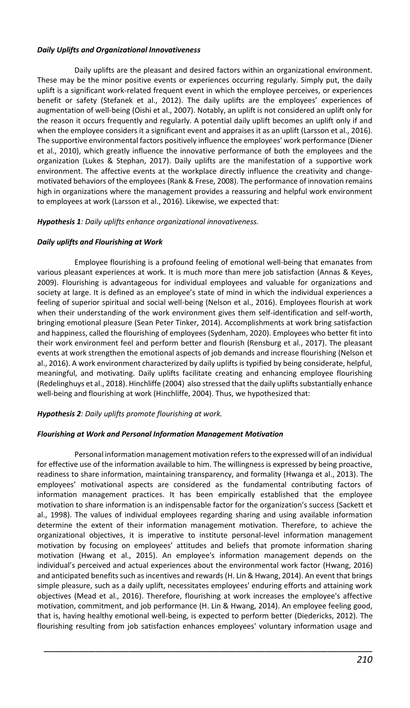# *Daily Uplifts and Organizational Innovativeness*

Daily uplifts are the pleasant and desired factors within an organizational environment. These may be the minor positive events or experiences occurring regularly. Simply put, the daily uplift is a significant work-related frequent event in which the employee perceives, or experiences benefit or safety (Stefanek et al., 2012). The daily uplifts are the employees' experiences of augmentation of well-being (Oishi et al., 2007). Notably, an uplift is not considered an uplift only for the reason it occurs frequently and regularly. A potential daily uplift becomes an uplift only if and when the employee considers it a significant event and appraises it as an uplift (Larsson et al., 2016). The supportive environmental factors positively influence the employees' work performance (Diener et al., 2010), which greatly influence the innovative performance of both the employees and the organization (Lukes & Stephan, 2017). Daily uplifts are the manifestation of a supportive work environment. The affective events at the workplace directly influence the creativity and changemotivated behaviors of the employees (Rank & Frese, 2008). The performance of innovation remains high in organizations where the management provides a reassuring and helpful work environment to employees at work (Larsson et al., 2016). Likewise, we expected that:

# *Hypothesis 1: Daily uplifts enhance organizational innovativeness.*

# *Daily uplifts and Flourishing at Work*

Employee flourishing is a profound feeling of emotional well-being that emanates from various pleasant experiences at work. It is much more than mere job satisfaction (Annas & Keyes, 2009). Flourishing is advantageous for individual employees and valuable for organizations and society at large. It is defined as an employee's state of mind in which the individual experiences a feeling of superior spiritual and social well-being (Nelson et al., 2016). Employees flourish at work when their understanding of the work environment gives them self-identification and self-worth, bringing emotional pleasure (Sean Peter Tinker, 2014). Accomplishments at work bring satisfaction and happiness, called the flourishing of employees (Sydenham, 2020). Employees who better fit into their work environment feel and perform better and flourish (Rensburg et al., 2017). The pleasant events at work strengthen the emotional aspects of job demands and increase flourishing (Nelson et al., 2016). A work environment characterized by daily uplifts is typified by being considerate, helpful, meaningful, and motivating. Daily uplifts facilitate creating and enhancing employee flourishing (Redelinghuys et al., 2018). Hinchliffe (2004) also stressed that the daily uplifts substantially enhance well-being and flourishing at work (Hinchliffe, 2004). Thus, we hypothesized that:

# *Hypothesis 2: Daily uplifts promote flourishing at work.*

## *Flourishing at Work and Personal Information Management Motivation*

Personal information management motivation refers to the expressed will of an individual for effective use of the information available to him. The willingness is expressed by being proactive, readiness to share information, maintaining transparency, and formality (Hwanga et al., 2013). The employees' motivational aspects are considered as the fundamental contributing factors of information management practices. It has been empirically established that the employee motivation to share information is an indispensable factor for the organization's success (Sackett et al., 1998). The values of individual employees regarding sharing and using available information determine the extent of their information management motivation. Therefore, to achieve the organizational objectives, it is imperative to institute personal-level information management motivation by focusing on employees' attitudes and beliefs that promote information sharing motivation (Hwang et al., 2015). An employee's information management depends on the individual's perceived and actual experiences about the environmental work factor (Hwang, 2016) and anticipated benefits such as incentives and rewards (H. Lin & Hwang, 2014). An event that brings simple pleasure, such as a daily uplift, necessitates employees' enduring efforts and attaining work objectives (Mead et al., 2016). Therefore, flourishing at work increases the employee's affective motivation, commitment, and job performance (H. Lin & Hwang, 2014). An employee feeling good, that is, having healthy emotional well-being, is expected to perform better (Diedericks, 2012). The flourishing resulting from job satisfaction enhances employees' voluntary information usage and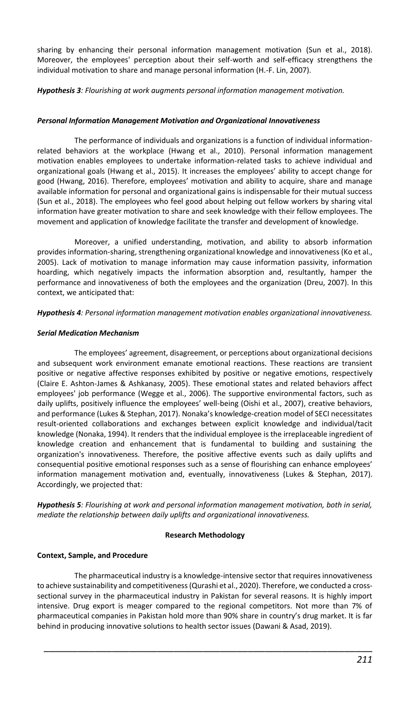sharing by enhancing their personal information management motivation (Sun et al., 2018). Moreover, the employees' perception about their self-worth and self-efficacy strengthens the individual motivation to share and manage personal information (H.-F. Lin, 2007).

*Hypothesis 3: Flourishing at work augments personal information management motivation.*

## *Personal Information Management Motivation and Organizational Innovativeness*

The performance of individuals and organizations is a function of individual informationrelated behaviors at the workplace (Hwang et al., 2010). Personal information management motivation enables employees to undertake information-related tasks to achieve individual and organizational goals (Hwang et al., 2015). It increases the employees' ability to accept change for good (Hwang, 2016). Therefore, employees' motivation and ability to acquire, share and manage available information for personal and organizational gains is indispensable for their mutual success (Sun et al., 2018). The employees who feel good about helping out fellow workers by sharing vital information have greater motivation to share and seek knowledge with their fellow employees. The movement and application of knowledge facilitate the transfer and development of knowledge.

Moreover, a unified understanding, motivation, and ability to absorb information provides information-sharing, strengthening organizational knowledge and innovativeness (Ko et al., 2005). Lack of motivation to manage information may cause information passivity, information hoarding, which negatively impacts the information absorption and, resultantly, hamper the performance and innovativeness of both the employees and the organization (Dreu, 2007). In this context, we anticipated that:

*Hypothesis 4: Personal information management motivation enables organizational innovativeness.*

#### *Serial Medication Mechanism*

The employees' agreement, disagreement, or perceptions about organizational decisions and subsequent work environment emanate emotional reactions. These reactions are transient positive or negative affective responses exhibited by positive or negative emotions, respectively (Claire E. Ashton-James & Ashkanasy, 2005). These emotional states and related behaviors affect employees' job performance (Wegge et al., 2006). The supportive environmental factors, such as daily uplifts, positively influence the employees' well-being (Oishi et al., 2007), creative behaviors, and performance (Lukes & Stephan, 2017). Nonaka's knowledge-creation model of SECI necessitates result-oriented collaborations and exchanges between explicit knowledge and individual/tacit knowledge (Nonaka, 1994). It renders that the individual employee is the irreplaceable ingredient of knowledge creation and enhancement that is fundamental to building and sustaining the organization's innovativeness. Therefore, the positive affective events such as daily uplifts and consequential positive emotional responses such as a sense of flourishing can enhance employees' information management motivation and, eventually, innovativeness (Lukes & Stephan, 2017). Accordingly, we projected that:

*Hypothesis 5: Flourishing at work and personal information management motivation, both in serial, mediate the relationship between daily uplifts and organizational innovativeness.*

#### **Research Methodology**

## **Context, Sample, and Procedure**

The pharmaceutical industry is a knowledge-intensive sector that requires innovativeness to achieve sustainability and competitiveness (Qurashi et al., 2020). Therefore, we conducted a crosssectional survey in the pharmaceutical industry in Pakistan for several reasons. It is highly import intensive. Drug export is meager compared to the regional competitors. Not more than 7% of pharmaceutical companies in Pakistan hold more than 90% share in country's drug market. It is far behind in producing innovative solutions to health sector issues (Dawani & Asad, 2019).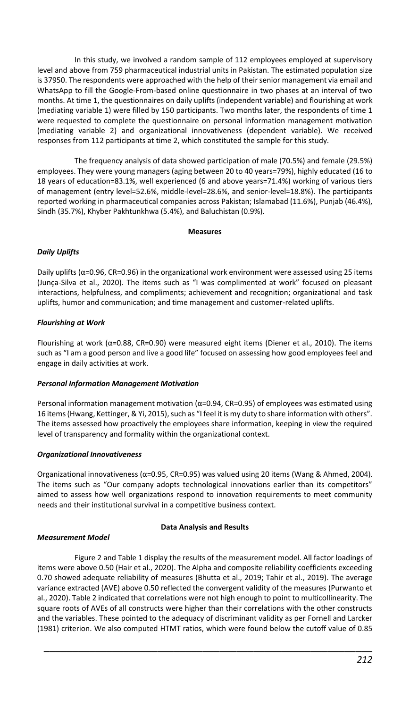In this study, we involved a random sample of 112 employees employed at supervisory level and above from 759 pharmaceutical industrial units in Pakistan. The estimated population size is 37950. The respondents were approached with the help of their senior management via email and WhatsApp to fill the Google-From-based online questionnaire in two phases at an interval of two months. At time 1, the questionnaires on daily uplifts (independent variable) and flourishing at work (mediating variable 1) were filled by 150 participants. Two months later, the respondents of time 1 were requested to complete the questionnaire on personal information management motivation (mediating variable 2) and organizational innovativeness (dependent variable). We received responses from 112 participants at time 2, which constituted the sample for this study.

The frequency analysis of data showed participation of male (70.5%) and female (29.5%) employees. They were young managers (aging between 20 to 40 years=79%), highly educated (16 to 18 years of education=83.1%, well experienced (6 and above years=71.4%) working of various tiers of management (entry level=52.6%, middle-level=28.6%, and senior-level=18.8%). The participants reported working in pharmaceutical companies across Pakistan; Islamabad (11.6%), Punjab (46.4%), Sindh (35.7%), Khyber Pakhtunkhwa (5.4%), and Baluchistan (0.9%).

#### **Measures**

# *Daily Uplifts*

Daily uplifts ( $α=0.96$ , CR=0.96) in the organizational work environment were assessed using 25 items (Junça-Silva et al., 2020). The items such as "I was complimented at work" focused on pleasant interactions, helpfulness, and compliments; achievement and recognition; organizational and task uplifts, humor and communication; and time management and customer-related uplifts.

# *Flourishing at Work*

Flourishing at work ( $α=0.88$ , CR=0.90) were measured eight items (Diener et al., 2010). The items such as "I am a good person and live a good life" focused on assessing how good employees feel and engage in daily activities at work.

## *Personal Information Management Motivation*

Personal information management motivation ( $\alpha$ =0.94, CR=0.95) of employees was estimated using 16 items (Hwang, Kettinger, & Yi, 2015), such as "I feel it is my duty to share information with others". The items assessed how proactively the employees share information, keeping in view the required level of transparency and formality within the organizational context.

## *Organizational Innovativeness*

Organizational innovativeness (α=0.95, CR=0.95) was valued using 20 items (Wang & Ahmed, 2004). The items such as "Our company adopts technological innovations earlier than its competitors" aimed to assess how well organizations respond to innovation requirements to meet community needs and their institutional survival in a competitive business context.

## **Data Analysis and Results**

## *Measurement Model*

Figure 2 and Table 1 display the results of the measurement model. All factor loadings of items were above 0.50 (Hair et al., 2020). The Alpha and composite reliability coefficients exceeding 0.70 showed adequate reliability of measures (Bhutta et al., 2019; Tahir et al., 2019). The average variance extracted (AVE) above 0.50 reflected the convergent validity of the measures (Purwanto et al., 2020). Table 2 indicated that correlations were not high enough to point to multicollinearity. The square roots of AVEs of all constructs were higher than their correlations with the other constructs and the variables. These pointed to the adequacy of discriminant validity as per Fornell and Larcker (1981) criterion. We also computed HTMT ratios, which were found below the cutoff value of 0.85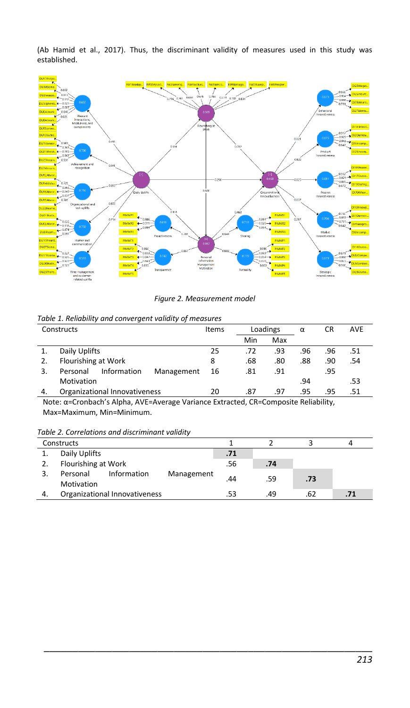(Ab Hamid et al., 2017). Thus, the discriminant validity of measures used in this study was established.



*Figure 2. Measurement model*

|    | Table 1. Reliability and convergent validity of measures |                  |     |               |     |     |            |
|----|----------------------------------------------------------|------------------|-----|---------------|-----|-----|------------|
|    | Constructs                                               | Items            |     | Loadings<br>α |     | CR  | <b>AVE</b> |
|    |                                                          |                  | Min | Max           |     |     |            |
|    | Daily Uplifts                                            | 25               | .72 | .93           | .96 | .96 | .51        |
| 2. | Flourishing at Work                                      | 8                | .68 | .80           | .88 | .90 | .54        |
| 3. | Information<br>Personal                                  | Management<br>16 | .81 | .91           |     | .95 |            |
|    | Motivation                                               |                  |     |               | .94 |     | .53        |
| 4. | Organizational Innovativeness                            | 20               | .87 | .97           | .95 | .95 | 51         |

# *Table 1. Reliability and convergent validity of measures*

Note: α=Cronbach's Alpha, AVE=Average Variance Extracted, CR=Composite Reliability, Max=Maximum, Min=Minimum.

*Table 2. Correlations and discriminant validity*

|    | Constructs                                          |     |     |     |     |
|----|-----------------------------------------------------|-----|-----|-----|-----|
|    | Daily Uplifts                                       | .71 |     |     |     |
|    | Flourishing at Work                                 | .56 | .74 |     |     |
|    | Information<br>Personal<br>Management<br>Motivation | 44  | .59 | .73 |     |
| 4. | Organizational Innovativeness                       |     | .49 | .62 | .71 |

\_\_\_\_\_\_\_\_\_\_\_\_\_\_\_\_\_\_\_\_\_\_\_\_\_\_\_\_\_\_\_\_\_\_\_\_\_\_\_\_\_\_\_\_\_\_\_\_\_\_\_\_\_\_\_\_\_\_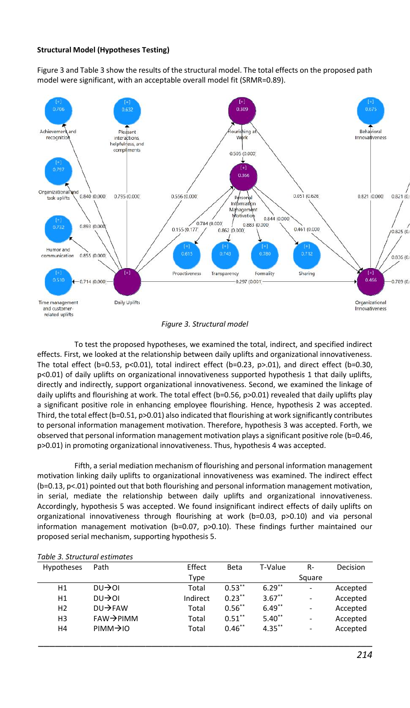### **Structural Model (Hypotheses Testing)**

Figure 3 and Table 3 show the results of the structural model. The total effects on the proposed path model were significant, with an acceptable overall model fit (SRMR=0.89).



#### *Figure 3. Structural model*

To test the proposed hypotheses, we examined the total, indirect, and specified indirect effects. First, we looked at the relationship between daily uplifts and organizational innovativeness. The total effect (b=0.53, p<0.01), total indirect effect (b=0.23, p>.01), and direct effect (b=0.30, p<0.01) of daily uplifts on organizational innovativeness supported hypothesis 1 that daily uplifts, directly and indirectly, support organizational innovativeness. Second, we examined the linkage of daily uplifts and flourishing at work. The total effect (b=0.56, p>0.01) revealed that daily uplifts play a significant positive role in enhancing employee flourishing. Hence, hypothesis 2 was accepted. Third, the total effect (b=0.51, p>0.01) also indicated that flourishing at work significantly contributes to personal information management motivation. Therefore, hypothesis 3 was accepted. Forth, we observed that personal information management motivation plays a significant positive role (b=0.46, p>0.01) in promoting organizational innovativeness. Thus, hypothesis 4 was accepted.

Fifth, a serial mediation mechanism of flourishing and personal information management motivation linking daily uplifts to organizational innovativeness was examined. The indirect effect (b=0.13, p<.01) pointed out that both flourishing and personal information management motivation, in serial, mediate the relationship between daily uplifts and organizational innovativeness. Accordingly, hypothesis 5 was accepted. We found insignificant indirect effects of daily uplifts on organizational innovativeness through flourishing at work (b=0.03, p>0.10) and via personal information management motivation (b=0.07, p>0.10). These findings further maintained our proposed serial mechanism, supporting hypothesis 5.

| <b>Hypotheses</b> | Path                   | Effect   | Beta      | T-Value   | R-     | Decision |
|-------------------|------------------------|----------|-----------|-----------|--------|----------|
|                   |                        | Type     |           |           | Square |          |
| H1                | $DU \rightarrow 01$    | Total    | $0.53***$ | $6.29**$  | ٠      | Accepted |
| H1                | $DU \rightarrow 01$    | Indirect | $0.23***$ | $3.67***$ | -      | Accepted |
| H <sub>2</sub>    | $DU \rightarrow FAW$   | Total    | $0.56$ ** | $6.49**$  | -      | Accepted |
| H <sub>3</sub>    | $FAW \rightarrow PIMM$ | Total    | $0.51**$  | $5.40**$  | -      | Accepted |
| Η4                | $PIMM \rightarrow 10$  | Total    | $0.46***$ | $4.35***$ | -      | Accepted |
|                   |                        |          |           |           |        |          |

#### *Table 3. Structural estimates*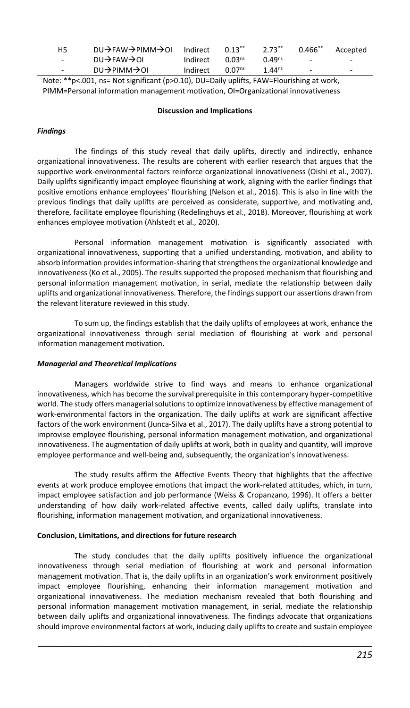| H <sub>5</sub>           | $DU\rightarrow$ FAW $\rightarrow$ PIMM $\rightarrow$ OI | Indirect | $0.13$ **          | $2.73**$           | $0.466$ **               | Accepted                 |
|--------------------------|---------------------------------------------------------|----------|--------------------|--------------------|--------------------------|--------------------------|
| $\overline{\phantom{0}}$ | $DU \rightarrow$ FAW $\rightarrow$ OI                   | Indirect | 0.03 <sup>ns</sup> | 0.49 <sup>ns</sup> | $\overline{\phantom{a}}$ | $\overline{\phantom{0}}$ |
| $\overline{\phantom{a}}$ | $DU \rightarrow$ PIMM $\rightarrow$ OI                  | Indirect | 0.07 <sup>ns</sup> | $1.44^{ns}$        | $\overline{\phantom{a}}$ | ۰                        |

Note: \*\*p<.001, ns= Not significant (p>0.10), DU=Daily uplifts, FAW=Flourishing at work, PIMM=Personal information management motivation, OI=Organizational innovativeness

#### **Discussion and Implications**

# *Findings*

The findings of this study reveal that daily uplifts, directly and indirectly, enhance organizational innovativeness. The results are coherent with earlier research that argues that the supportive work-environmental factors reinforce organizational innovativeness (Oishi et al., 2007). Daily uplifts significantly impact employee flourishing at work, aligning with the earlier findings that positive emotions enhance employees' flourishing (Nelson et al., 2016). This is also in line with the previous findings that daily uplifts are perceived as considerate, supportive, and motivating and, therefore, facilitate employee flourishing (Redelinghuys et al., 2018). Moreover, flourishing at work enhances employee motivation (Ahlstedt et al., 2020).

Personal information management motivation is significantly associated with organizational innovativeness, supporting that a unified understanding, motivation, and ability to absorb information provides information-sharing that strengthens the organizational knowledge and innovativeness (Ko et al., 2005). The results supported the proposed mechanism that flourishing and personal information management motivation, in serial, mediate the relationship between daily uplifts and organizational innovativeness. Therefore, the findings support our assertions drawn from the relevant literature reviewed in this study.

To sum up, the findings establish that the daily uplifts of employees at work, enhance the organizational innovativeness through serial mediation of flourishing at work and personal information management motivation.

## *Managerial and Theoretical Implications*

Managers worldwide strive to find ways and means to enhance organizational innovativeness, which has become the survival prerequisite in this contemporary hyper-competitive world. The study offers managerial solutions to optimize innovativeness by effective management of work-environmental factors in the organization. The daily uplifts at work are significant affective factors of the work environment (Junca-Silva et al., 2017). The daily uplifts have a strong potential to improvise employee flourishing, personal information management motivation, and organizational innovativeness. The augmentation of daily uplifts at work, both in quality and quantity, will improve employee performance and well-being and, subsequently, the organization's innovativeness.

The study results affirm the Affective Events Theory that highlights that the affective events at work produce employee emotions that impact the work-related attitudes, which, in turn, impact employee satisfaction and job performance (Weiss & Cropanzano, 1996). It offers a better understanding of how daily work-related affective events, called daily uplifts, translate into flourishing, information management motivation, and organizational innovativeness.

## **Conclusion, Limitations, and directions for future research**

The study concludes that the daily uplifts positively influence the organizational innovativeness through serial mediation of flourishing at work and personal information management motivation. That is, the daily uplifts in an organization's work environment positively impact employee flourishing, enhancing their information management motivation and organizational innovativeness. The mediation mechanism revealed that both flourishing and personal information management motivation management, in serial, mediate the relationship between daily uplifts and organizational innovativeness. The findings advocate that organizations should improve environmental factors at work, inducing daily uplifts to create and sustain employee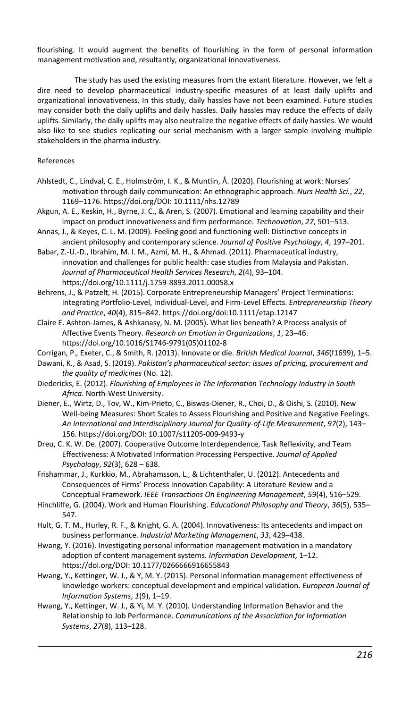flourishing. It would augment the benefits of flourishing in the form of personal information management motivation and, resultantly, organizational innovativeness.

The study has used the existing measures from the extant literature. However, we felt a dire need to develop pharmaceutical industry-specific measures of at least daily uplifts and organizational innovativeness. In this study, daily hassles have not been examined. Future studies may consider both the daily uplifts and daily hassles. Daily hassles may reduce the effects of daily uplifts. Similarly, the daily uplifts may also neutralize the negative effects of daily hassles. We would also like to see studies replicating our serial mechanism with a larger sample involving multiple stakeholders in the pharma industry.

# References

- Ahlstedt, C., Lindval, C. E., Holmström, I. K., & Muntlin, Å. (2020). Flourishing at work: Nurses' motivation through daily communication: An ethnographic approach. *Nurs Health Sci.*, *22*, 1169–1176. https://doi.org/DOI: 10.1111/nhs.12789
- Akgun, A. E., Keskin, H., Byrne, J. C., & Aren, S. (2007). Emotional and learning capability and their impact on product innovativeness and firm performance. *Technovation*, *27*, 501–513.
- Annas, J., & Keyes, C. L. M. (2009). Feeling good and functioning well: Distinctive concepts in ancient philosophy and contemporary science. *Journal of Positive Psychology*, *4*, 197–201.

Babar, Z.-U.-D., Ibrahim, M. I. M., Azmi, M. H., & Ahmad. (2011). Pharmaceutical industry, innovation and challenges for public health: case studies from Malaysia and Pakistan. *Journal of Pharmaceutical Health Services Research*, *2*(4), 93–104. https://doi.org/10.1111/j.1759-8893.2011.00058.x

Behrens, J., & Patzelt, H. (2015). Corporate Entrepreneurship Managers' Project Terminations: Integrating Portfolio-Level, Individual-Level, and Firm-Level Effects. *Entrepreneurship Theory and Practice*, *40*(4), 815–842. https://doi.org/doi:10.1111/etap.12147

Claire E. Ashton-James, & Ashkanasy, N. M. (2005). What lies beneath? A Process analysis of Affective Events Theory. *Research on Emotion in Organizations*, *1*, 23–46. https://doi.org/10.1016/S1746-9791(05)01102-8

- Corrigan, P., Exeter, C., & Smith, R. (2013). Innovate or die. *British Medical Journal*, *346*(f1699), 1–5.
- Dawani, K., & Asad, S. (2019). *Pakistan's pharmaceutical sector: issues of pricing, procurement and the quality of medicines* (No. 12).
- Diedericks, E. (2012). *Flourishing of Employees in The Information Technology Industry in South Africa*. North-West University.
- Diener, E., Wirtz, D., Tov, W., Kim-Prieto, C., Biswas-Diener, R., Choi, D., & Oishi, S. (2010). New Well-being Measures: Short Scales to Assess Flourishing and Positive and Negative Feelings. *An International and Interdisciplinary Journal for Quality-of-Life Measurement*, *97*(2), 143– 156. https://doi.org/DOI: 10.1007/s11205-009-9493-y
- Dreu, C. K. W. De. (2007). Cooperative Outcome Interdependence, Task Reflexivity, and Team Effectiveness: A Motivated Information Processing Perspective. *Journal of Applied Psychology*, *92*(3), 628 – 638.
- Frishammar, J., Kurkkio, M., Abrahamsson, L., & Lichtenthaler, U. (2012). Antecedents and Consequences of Firms' Process Innovation Capability: A Literature Review and a Conceptual Framework. *IEEE Transactions On Engineering Management*, *59*(4), 516–529.
- Hinchliffe, G. (2004). Work and Human Flourishing. *Educational Philosophy and Theory*, *36*(5), 535– 547.
- Hult, G. T. M., Hurley, R. F., & Knight, G. A. (2004). Innovativeness: Its antecedents and impact on business performance. *Industrial Marketing Management*, *33*, 429–438.
- Hwang, Y. (2016). Investigating personal information management motivation in a mandatory adoption of content management systems. *Information Development*, 1–12. https://doi.org/DOI: 10.1177/0266666916655843
- Hwang, Y., Kettinger, W. J., & Y, M. Y. (2015). Personal information management effectiveness of knowledge workers: conceptual development and empirical validation. *European Journal of Information Systems*, *1*(9), 1–19.

\_\_\_\_\_\_\_\_\_\_\_\_\_\_\_\_\_\_\_\_\_\_\_\_\_\_\_\_\_\_\_\_\_\_\_\_\_\_\_\_\_\_\_\_\_\_\_\_\_\_\_\_\_\_\_\_\_\_\_

Hwang, Y., Kettinger, W. J., & Yi, M. Y. (2010). Understanding Information Behavior and the Relationship to Job Performance. *Communications of the Association for Information Systems*, *27*(8), 113–128.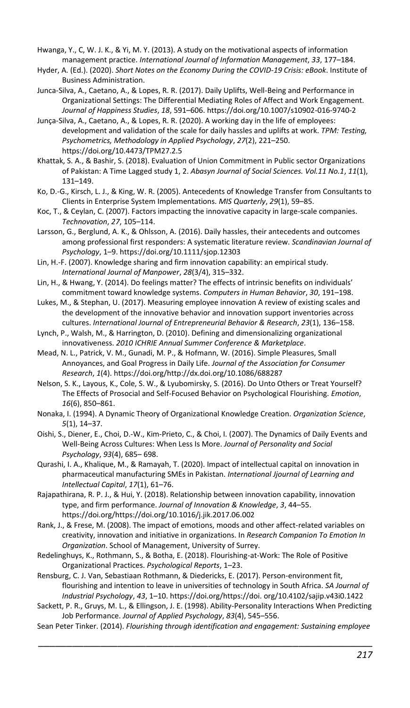Hwanga, Y., C, W. J. K., & Yi, M. Y. (2013). A study on the motivational aspects of information management practice. *International Journal of Information Management*, *33*, 177–184.

Hyder, A. (Ed.). (2020). *Short Notes on the Economy During the COVID-19 Crisis: eBook*. Institute of Business Administration.

Junca-Silva, A., Caetano, A., & Lopes, R. R. (2017). Daily Uplifts, Well-Being and Performance in Organizational Settings: The Differential Mediating Roles of Affect and Work Engagement. *Journal of Happiness Studies*, *18*, 591–606. https://doi.org/10.1007/s10902-016-9740-2

- Junça-Silva, A., Caetano, A., & Lopes, R. R. (2020). A working day in the life of employees: development and validation of the scale for daily hassles and uplifts at work. *TPM: Testing, Psychometrics, Methodology in Applied Psychology*, *27*(2), 221–250. https://doi.org/10.4473/TPM27.2.5
- Khattak, S. A., & Bashir, S. (2018). Evaluation of Union Commitment in Public sector Organizations of Pakistan: A Time Lagged study 1, 2. *Abasyn Journal of Social Sciences. Vol.11 No.1*, *11*(1), 131–149.
- Ko, D.-G., Kirsch, L. J., & King, W. R. (2005). Antecedents of Knowledge Transfer from Consultants to Clients in Enterprise System Implementations. *MIS Quarterly*, *29*(1), 59–85.
- Koc, T., & Ceylan, C. (2007). Factors impacting the innovative capacity in large-scale companies. *Technovation*, *27*, 105–114.
- Larsson, G., Berglund, A. K., & Ohlsson, A. (2016). Daily hassles, their antecedents and outcomes among professional first responders: A systematic literature review. *Scandinavian Journal of Psychology*, 1–9. https://doi.org/10.1111/sjop.12303
- Lin, H.-F. (2007). Knowledge sharing and firm innovation capability: an empirical study. *International Journal of Manpower*, *28*(3/4), 315–332.
- Lin, H., & Hwang, Y. (2014). Do feelings matter? The effects of intrinsic benefits on individuals' commitment toward knowledge systems. *Computers in Human Behavior*, *30*, 191–198.
- Lukes, M., & Stephan, U. (2017). Measuring employee innovation A review of existing scales and the development of the innovative behavior and innovation support inventories across cultures. *International Journal of Entrepreneurial Behavior & Research*, *23*(1), 136–158.
- Lynch, P., Walsh, M., & Harrington, D. (2010). Defining and dimensionalizing organizational innovativeness. *2010 ICHRIE Annual Summer Conference & Marketplace*.
- Mead, N. L., Patrick, V. M., Gunadi, M. P., & Hofmann, W. (2016). Simple Pleasures, Small Annoyances, and Goal Progress in Daily Life. *Journal of the Association for Consumer Research*, *1*(4). https://doi.org/http://dx.doi.org/10.1086/688287
- Nelson, S. K., Layous, K., Cole, S. W., & Lyubomirsky, S. (2016). Do Unto Others or Treat Yourself? The Effects of Prosocial and Self-Focused Behavior on Psychological Flourishing. *Emotion*, *16*(6), 850–861.
- Nonaka, I. (1994). A Dynamic Theory of Organizational Knowledge Creation. *Organization Science*, *5*(1), 14–37.
- Oishi, S., Diener, E., Choi, D.-W., Kim-Prieto, C., & Choi, I. (2007). The Dynamics of Daily Events and Well-Being Across Cultures: When Less Is More. *Journal of Personality and Social Psychology*, *93*(4), 685– 698.
- Qurashi, I. A., Khalique, M., & Ramayah, T. (2020). Impact of intellectual capital on innovation in pharmaceutical manufacturing SMEs in Pakistan. *International Jjournal of Learning and Intellectual Capital*, *17*(1), 61–76.
- Rajapathirana, R. P. J., & Hui, Y. (2018). Relationship between innovation capability, innovation type, and firm performance. *Journal of Innovation & Knowledge*, *3*, 44–55. https://doi.org/https://doi.org/10.1016/j.jik.2017.06.002
- Rank, J., & Frese, M. (2008). The impact of emotions, moods and other affect-related variables on creativity, innovation and initiative in organizations. In *Research Companion To Emotion In Organization*. School of Management, University of Surrey.
- Redelinghuys, K., Rothmann, S., & Botha, E. (2018). Flourishing-at-Work: The Role of Positive Organizational Practices. *Psychological Reports*, 1–23.
- Rensburg, C. J. Van, Sebastiaan Rothmann, & Diedericks, E. (2017). Person-environment fit, flourishing and intention to leave in universities of technology in South Africa. *SA Journal of Industrial Psychology*, *43*, 1–10. https://doi.org/https://doi. org/10.4102/sajip.v43i0.1422
- Sackett, P. R., Gruys, M. L., & Ellingson, J. E. (1998). Ability-Personality Interactions When Predicting Job Performance. *Journal of Applied Psychology*, *83*(4), 545–556.
- \_\_\_\_\_\_\_\_\_\_\_\_\_\_\_\_\_\_\_\_\_\_\_\_\_\_\_\_\_\_\_\_\_\_\_\_\_\_\_\_\_\_\_\_\_\_\_\_\_\_\_\_\_\_\_\_\_\_\_ Sean Peter Tinker. (2014). *Flourishing through identification and engagement: Sustaining employee*